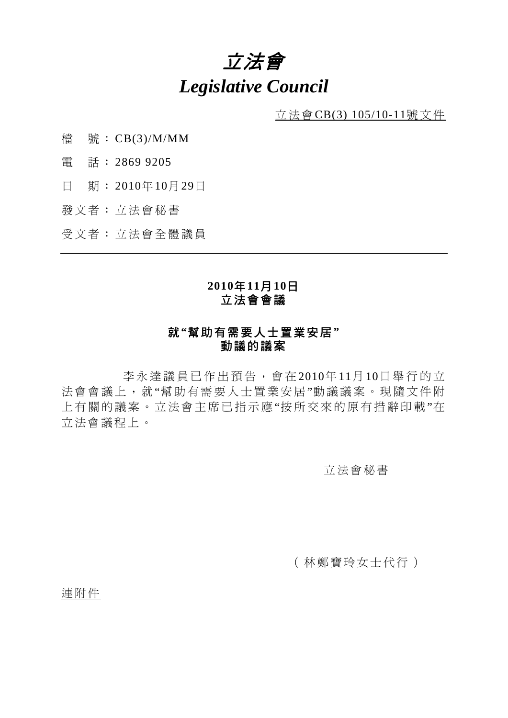# 立法會 *Legislative Council*

立法會CB(3) 105/10-11號文件

- 檔 號: CB(3)/M/MM
- 電 話: 2869 9205
- 日 期: 2010年10月29日
- 發文者: 立法會秘書

受文者: 立法會全體議員

## **2010**年**11**月**10**日 立法會會議

## 就**"**幫助有需要人士置業安居**"**  動議的議案

 李永達議員已作出預告,會在 2010年 11月 10日舉行的立 法會會議上,就"幫助有需要人士置業安居"動議議案。現隨文件附 上有關的議案。立法會主席已指示應"按所交來的原有措辭印載"在 立法會議程上。

#### 立法會秘書

(林鄭寶玲女士代行)

連附件